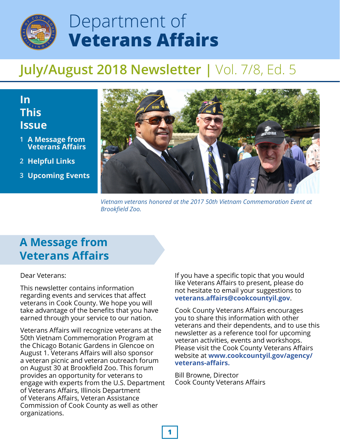

# Department of **Veterans Affairs**

## **July/August 2018 Newsletter |** Vol. 7/8, Ed. 5

### **In This Issue**

- **A Message from 1 Veterans Affairs**
- **Helpful Links 2**
- **Upcoming Events 3**



*Vietnam veterans honored at the 2017 50th Vietnam Commemoration Event at Brookfield Zoo.*

## **A Message from Veterans Affairs**

#### Dear Veterans:

This newsletter contains information regarding events and services that affect veterans in Cook County. We hope you will take advantage of the benefits that you have earned through your service to our nation.

Veterans Affairs will recognize veterans at the 50th Vietnam Commemoration Program at the Chicago Botanic Gardens in Glencoe on August 1. Veterans Affairs will also sponsor a veteran picnic and veteran outreach forum on August 30 at Brookfield Zoo. This forum provides an opportunity for veterans to engage with experts from the U.S. Department of Veterans Affairs, Illinois Department of Veterans Affairs, Veteran Assistance Commission of Cook County as well as other organizations.

If you have a specific topic that you would like Veterans Affairs to present, please do not hesitate to email your suggestions to **veterans.affairs@cookcountyil.gov**.

Cook County Veterans Affairs encourages you to share this information with other veterans and their dependents, and to use this newsletter as a reference tool for upcoming veteran activities, events and workshops. Please visit the Cook County Veterans Affairs website at **[www.cookcountyil.gov/agency/](http://www.cookcountyil.gov/agency/veterans-affairs/) veterans-affairs.** 

Bill Browne, Director Cook County Veterans Affairs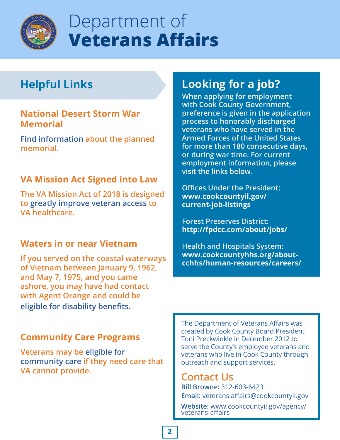

# Department of **Veterans Affairs**

## **Helpful Links**

#### **National Desert Storm War Memorial**

**[Find information](http://www.ndswm.org) about the planned memorial.**

#### **VA Mission Act Signed into Law**

**The VA Mission Act of 2018 is designed to [greatly improve veteran access t](https://militarybenefits.info/va-mission-act/)o VA healthcare.**

#### **Waters in or near Vietnam**

**If you served on the coastal waterways of Vietnam between January 9, 1962, and May 7, 1975, and you came ashore, you may have had contact with Agent Orange and could be [eligible for disability benefits.](http://www.vets.gov/disability-benefits/conditions/exposure-to-hazardous-materials/agent-orange/water-vietnam)**

#### **Community Care Programs**

**Veterans may be eligible for [community care if they need c](https://www.va.gov/communitycare/)are that VA cannot provide.**

## **Looking for a job?**

**When applying for employment with Cook County Government, preference is given in the application process to honorably discharged veterans who have served in the Armed Forces of the United States for more than 180 consecutive days, or during war time. For current employment information, please visit the links below.**

**Offices Under the President: [www.cookcountyil.gov/](http://www.cookcountyil.gov/current-job-listings) current-job-listings**

**Forest Preserves District: <http://fpdcc.com/about/jobs/>**

**Health and Hospitals System: www.cookcountyhhs.org/about[cchhs/human-resources/careers/](http://www.cookcountyhhs.org/about-cchhs/human-resources/careers/)**

The Department of Veterans Affairs was created by Cook County Board President Toni Preckwinkle in December 2012 to serve the County's employee veterans and veterans who live in Cook County through outreach and support services.

#### **Contact Us**

**Bill Browne:** 312-603-6423 **Email:** veterans.affairs@cookcountyil.gov

Website: [www.cookcountyil.gov/agency/](http://www.cookcountyil.gov/agency/veterans-affairs/)<br>veterans-affairs